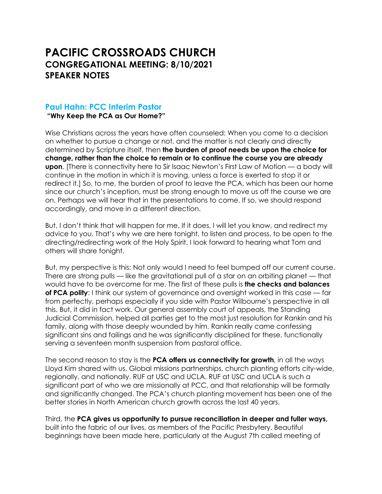# **PACIFIC CROSSROADS CHURCH CONGREGATIONAL MEETING: 8/10/2021 SPEAKER NOTES**

## **Paul Hahn: PCC Interim Pastor**

**"Why Keep the PCA as Our Home?"** 

Wise Christians across the years have often counseled: When you come to a decision on whether to pursue a change or not, and the matter is not clearly and directly determined by Scripture itself, then **the burden of proof needs be upon the choice for change, rather than the choice to remain or to continue the course you are already upon**. [There is connectivity here to Sir Isaac Newton's First Law of Motion — a body will continue in the motion in which it is moving, unless a force is exerted to stop it or redirect it.] So, to me, the burden of proof to leave the PCA, which has been our home since our church's inception, must be strong enough to move us off the course we are on. Perhaps we will hear that in the presentations to come. If so, we should respond accordingly, and move in a different direction.

But, I don't think that will happen for me. If it does, I will let you know, and redirect my advice to you. That's why we are here tonight, to listen and process, to be open to the directing/redirecting work of the Holy Spirit. I look forward to hearing what Tom and others will share tonight.

But, my perspective is this: Not only would I need to feel bumped off our current course. There are strong pulls — like the gravitational pull of a star on an orbiting planet — that would have to be overcome for me. The first of these pulls is **the checks and balances of PCA polity**: I think our system of governance and oversight worked in this case — far from perfectly, perhaps especially if you side with Pastor Wilbourne's perspective in all this. But, it did in fact work. Our general assembly court of appeals, the Standing Judicial Commission, helped all parties get to the most just resolution for Rankin and his family, along with those deeply wounded by him. Rankin really came confessing significant sins and failings and he was significantly disciplined for these, functionally serving a seventeen month suspension from pastoral office.

The second reason to stay is the **PCA offers us connectivity for growth**, in all the ways Lloyd Kim shared with us. Global missions partnerships, church planting efforts city-wide, regionally, and nationally. RUF at USC and UCLA. RUF at USC and UCLA is such a significant part of who we are missionally at PCC, and that relationship will be formally and significantly changed. The PCA's church planting movement has been one of the better stories in North American church growth across the last 40 years.

Third, the **PCA gives us opportunity to pursue reconciliation in deeper and fuller ways,** built into the fabric of our lives, as members of the Pacific Presbytery. Beautiful beginnings have been made here, particularly at the August 7th called meeting of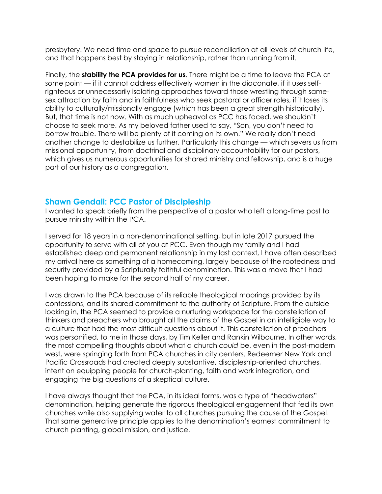presbytery. We need time and space to pursue reconciliation at all levels of church life, and that happens best by staying in relationship, rather than running from it.

Finally, the **stability the PCA provides for us**. There might be a time to leave the PCA at some point — if it cannot address effectively women in the diaconate, if it uses selfrighteous or unnecessarily isolating approaches toward those wrestling through samesex attraction by faith and in faithfulness who seek pastoral or officer roles, if it loses its ability to culturally/missionally engage (which has been a great strength historically). But, that time is not now. With as much upheaval as PCC has faced, we shouldn't choose to seek more. As my beloved father used to say, "Son, you don't need to borrow trouble. There will be plenty of it coming on its own." We really don't need another change to destabilize us further. Particularly this change — which severs us from missional opportunity, from doctrinal and disciplinary accountability for our pastors, which gives us numerous opportunities for shared ministry and fellowship, and is a huge part of our history as a congregation.

### **Shawn Gendall: PCC Pastor of Discipleship**

I wanted to speak briefly from the perspective of a pastor who left a long-time post to pursue ministry within the PCA.

I served for 18 years in a non-denominational setting, but in late 2017 pursued the opportunity to serve with all of you at PCC. Even though my family and I had established deep and permanent relationship in my last context, I have often described my arrival here as something of a homecoming, largely because of the rootedness and security provided by a Scripturally faithful denomination. This was a move that I had been hoping to make for the second half of my career.

I was drawn to the PCA because of its reliable theological moorings provided by its confessions, and its shared commitment to the authority of Scripture. From the outside looking in, the PCA seemed to provide a nurturing workspace for the constellation of thinkers and preachers who brought all the claims of the Gospel in an intelligible way to a culture that had the most difficult questions about it. This constellation of preachers was personified, to me in those days, by Tim Keller and Rankin Wilbourne. In other words, the most compelling thoughts about what a church *could* be, even in the post-modern west, were springing forth from PCA churches in city centers. Redeemer New York and Pacific Crossroads had created deeply substantive, discipleship-oriented churches, intent on equipping people for church-planting, faith and work integration, and engaging the big questions of a skeptical culture.

I have always thought that the PCA, in its ideal forms, was a type of "headwaters" denomination, helping generate the rigorous theological engagement that fed its own churches while also supplying water to all churches pursuing the cause of the Gospel. That same generative principle applies to the denomination's earnest commitment to church planting, global mission, and justice.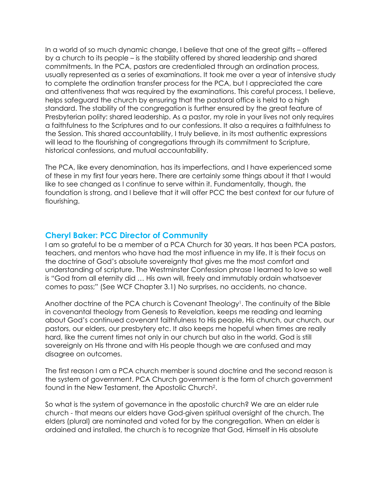In a world of so much dynamic change, I believe that one of the great gifts – offered by a church to its people – is the stability offered by shared leadership and shared commitments. In the PCA, pastors are credentialed through an ordination process, usually represented as a series of examinations. It took me over a year of intensive study to complete the ordination transfer process for the PCA, but I appreciated the care and attentiveness that was required by the examinations. This careful process, I believe, helps safeguard the church by ensuring that the pastoral office is held to a high standard. The stability of the congregation is further ensured by the great feature of Presbyterian polity: shared leadership. As a pastor, my role in your lives not only requires a faithfulness to the Scriptures and to our confessions. It also a requires a faithfulness to the Session. This shared accountability, I truly believe, in its most authentic expressions will lead to the flourishing of congregations through its commitment to Scripture, historical confessions, and mutual accountability.

The PCA, like every denomination, has its imperfections, and I have experienced some of these in my first four years here. There are certainly some things about it that I would like to see changed as I continue to serve within it. Fundamentally, though, the foundation is strong, and I believe that it will offer PCC the best context for our future of flourishing.

#### **Cheryl Baker: PCC Director of Community**

I am so grateful to be a member of a PCA Church for 30 years. It has been PCA pastors, teachers, and mentors who have had the most influence in my life. It is their focus on the doctrine of God's absolute sovereignty that gives me the most comfort and understanding of scripture. The Westminster Confession phrase I learned to love so well is "God from all eternity did … His own will, freely and immutably ordain whatsoever comes to pass;" (See WCF Chapter 3.1) No surprises, no accidents, no chance.

Another doctrine of the PCA church is Covenant Theology1. The continuity of the Bible in covenantal theology from Genesis to Revelation, keeps me reading and learning about God's continued covenant faithfulness to His people, His church, our church, our pastors, our elders, our presbytery etc. It also keeps me hopeful when times are really hard, like the current times not only in our church but also in the world. God is still sovereignly on His throne and with His people though we are confused and may disagree on outcomes.

The first reason I am a PCA church member is sound doctrine and the second reason is the system of government. PCA Church government is the form of church government found in the New Testament, the Apostolic Church2.

So what is the system of governance in the apostolic church? We are an elder rule church - that means our elders have God-given spiritual oversight of the church. The elders (plural) are nominated and voted for by the congregation. When an elder is ordained and installed, the church is to recognize that God, Himself in His absolute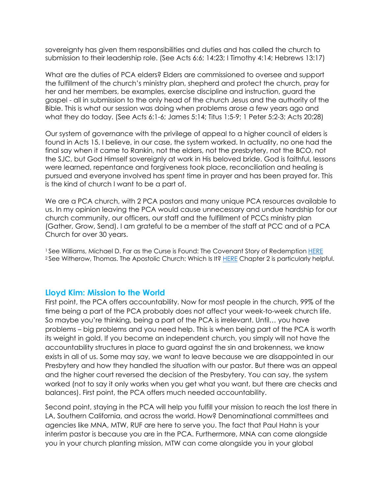sovereignty has given them responsibilities and duties and has called the church to submission to their leadership role. (See Acts 6:6; 14:23; I Timothy 4:14; Hebrews 13:17)

What are the duties of PCA elders? Elders are commissioned to oversee and support the fulfillment of the church's ministry plan, shepherd and protect the church, pray for her and her members, be examples, exercise discipline and instruction, guard the gospel - all in submission to the only head of the church Jesus and the authority of the Bible. This is what our session was doing when problems arose a few years ago and what they do today. (See Acts 6:1-6; James 5:14; Titus 1:5-9; 1 Peter 5:2-3; Acts 20:28)

Our system of governance with the privilege of appeal to a higher council of elders is found in Acts 15. I believe, in our case, the system worked. In actuality, no one had the final say when it came to Rankin, not the elders, not the presbytery, not the BCO, not the SJC, but God Himself sovereignly at work in His beloved bride. God is faithful, lessons were learned, repentance and forgiveness took place, reconciliation and healing is pursued and everyone involved has spent time in prayer and has been prayed for. This is the kind of church I want to be a part of.

We are a PCA church, with 2 PCA pastors and many unique PCA resources available to us. In my opinion leaving the PCA would cause unnecessary and undue hardship for our church community, our officers, our staff and the fulfillment of PCCs ministry plan (Gather, Grow, Send). I am grateful to be a member of the staff at PCC and of a PCA Church for over 30 years.

1 See Williams, Michael D. Far as the Curse is Found: The Covenant Story of Redemption HERE <sup>2</sup> See Witherow, Thomas. The Apostolic Church: Which Is It? HERE Chapter 2 is particularly helpful.

#### **Lloyd Kim: Mission to the World**

First point, the PCA offers accountability. Now for most people in the church, 99% of the time being a part of the PCA probably does not affect your week-to-week church life. So maybe you're thinking, being a part of the PCA is irrelevant. Until… you have problems – big problems and you need help. This is when being part of the PCA is worth its weight in gold. If you become an independent church, you simply will not have the accountability structures in place to guard against the sin and brokenness, we know exists in all of us. Some may say, we want to leave because we are disappointed in our Presbytery and how they handled the situation with our pastor. But there was an appeal and the higher court reversed the decision of the Presbytery. You can say, the system worked (not to say it only works when you get what you want, but there are checks and balances). First point, the PCA offers much needed accountability.

Second point, staying in the PCA will help you fulfill your mission to reach the lost there in LA, Southern California, and across the world. How? Denominational committees and agencies like MNA, MTW, RUF are here to serve you. The fact that Paul Hahn is your interim pastor is because you are in the PCA. Furthermore, MNA can come alongside you in your church planting mission, MTW can come alongside you in your global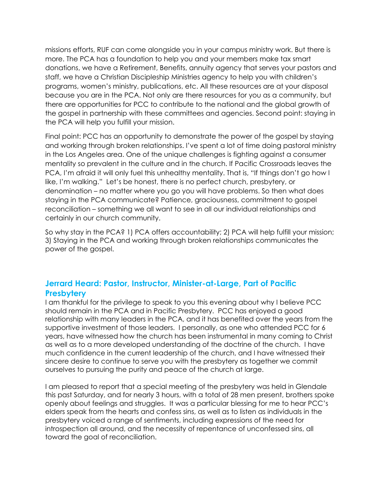missions efforts, RUF can come alongside you in your campus ministry work. But there is more. The PCA has a foundation to help you and your members make tax smart donations, we have a Retirement, Benefits, annuity agency that serves your pastors and staff, we have a Christian Discipleship Ministries agency to help you with children's programs, women's ministry, publications, etc. All these resources are at your disposal because you are in the PCA. Not only are there resources for you as a community, but there are opportunities for PCC to contribute to the national and the global growth of the gospel in partnership with these committees and agencies. Second point: staying in the PCA will help you fulfill your mission.

Final point: PCC has an opportunity to demonstrate the power of the gospel by staying and working through broken relationships. I've spent a lot of time doing pastoral ministry in the Los Angeles area. One of the unique challenges is fighting against a consumer mentality so prevalent in the culture and in the church. If Pacific Crossroads leaves the PCA, I'm afraid it will only fuel this unhealthy mentality. That is, "If things don't go how I like, I'm walking." Let's be honest, there is no perfect church, presbytery, or denomination – no matter where you go you will have problems. So then what does staying in the PCA communicate? Patience, graciousness, commitment to gospel reconciliation – something we all want to see in all our individual relationships and certainly in our church community.

So why stay in the PCA? 1) PCA offers accountability; 2) PCA will help fulfill your mission; 3) Staying in the PCA and working through broken relationships communicates the power of the gospel.

# **Jerrard Heard: Pastor, Instructor, Minister-at-Large, Part of Pacific Presbytery**

I am thankful for the privilege to speak to you this evening about why I believe PCC should remain in the PCA and in Pacific Presbytery. PCC has enjoyed a good relationship with many leaders in the PCA, and it has benefited over the years from the supportive investment of those leaders. I personally, as one who attended PCC for 6 years, have witnessed how the church has been instrumental in many coming to Christ as well as to a more developed understanding of the doctrine of the church. I have much confidence in the current leadership of the church, and I have witnessed their sincere desire to continue to serve you with the presbytery as together we commit ourselves to pursuing the purity and peace of the church at large.

I am pleased to report that a special meeting of the presbytery was held in Glendale this past Saturday, and for nearly 3 hours, with a total of 28 men present, brothers spoke openly about feelings and struggles. It was a particular blessing for me to hear PCC's elders speak from the hearts and confess sins, as well as to listen as individuals in the presbytery voiced a range of sentiments, including expressions of the need for introspection all around, and the necessity of repentance of unconfessed sins, all toward the goal of reconciliation.